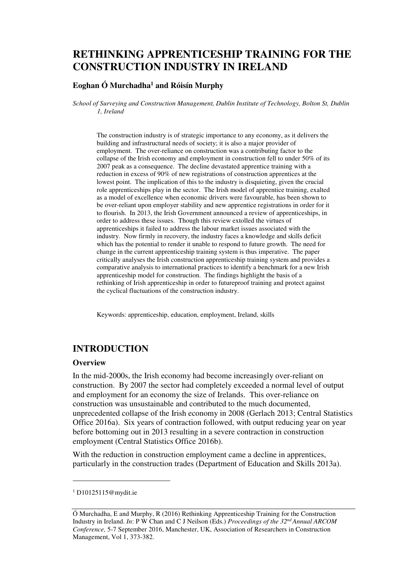# **RETHINKING APPRENTICESHIP TRAINING FOR THE CONSTRUCTION INDUSTRY IN IRELAND**

#### **Eoghan Ó Murchadha<sup>1</sup> and Róisín Murphy**

*School of Surveying and Construction Management, Dublin Institute of Technology, Bolton St, Dublin 1, Ireland* 

The construction industry is of strategic importance to any economy, as it delivers the building and infrastructural needs of society; it is also a major provider of employment. The over-reliance on construction was a contributing factor to the collapse of the Irish economy and employment in construction fell to under 50% of its 2007 peak as a consequence. The decline devastated apprentice training with a reduction in excess of 90% of new registrations of construction apprentices at the lowest point. The implication of this to the industry is disquieting, given the crucial role apprenticeships play in the sector. The Irish model of apprentice training, exalted as a model of excellence when economic drivers were favourable, has been shown to be over-reliant upon employer stability and new apprentice registrations in order for it to flourish. In 2013, the Irish Government announced a review of apprenticeships, in order to address these issues. Though this review extolled the virtues of apprenticeships it failed to address the labour market issues associated with the industry. Now firmly in recovery, the industry faces a knowledge and skills deficit which has the potential to render it unable to respond to future growth. The need for change in the current apprenticeship training system is thus imperative. The paper critically analyses the Irish construction apprenticeship training system and provides a comparative analysis to international practices to identify a benchmark for a new Irish apprenticeship model for construction. The findings highlight the basis of a rethinking of Irish apprenticeship in order to futureproof training and protect against the cyclical fluctuations of the construction industry.

Keywords: apprenticeship, education, employment, Ireland, skills

### **INTRODUCTION**

#### **Overview**

In the mid-2000s, the Irish economy had become increasingly over-reliant on construction. By 2007 the sector had completely exceeded a normal level of output and employment for an economy the size of Irelands. This over-reliance on construction was unsustainable and contributed to the much documented, unprecedented collapse of the Irish economy in 2008 (Gerlach 2013; Central Statistics Office 2016a). Six years of contraction followed, with output reducing year on year before bottoming out in 2013 resulting in a severe contraction in construction employment (Central Statistics Office 2016b).

With the reduction in construction employment came a decline in apprentices, particularly in the construction trades (Department of Education and Skills 2013a).

 $\overline{a}$ 

<sup>1</sup> D10125115@mydit.ie

Ó Murchadha, E and Murphy, R (2016) Rethinking Apprenticeship Training for the Construction Industry in Ireland. *In*: P W Chan and C J Neilson (Eds.) *Proceedings of the 32nd Annual ARCOM Conference,* 5-7 September 2016, Manchester, UK, Association of Researchers in Construction Management, Vol 1, 373-382.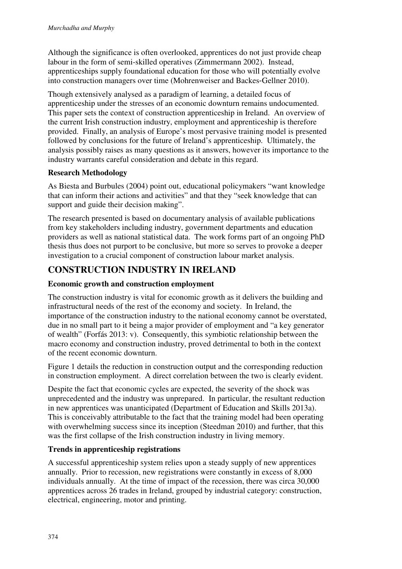Although the significance is often overlooked, apprentices do not just provide cheap labour in the form of semi-skilled operatives (Zimmermann 2002). Instead, apprenticeships supply foundational education for those who will potentially evolve into construction managers over time (Mohrenweiser and Backes‐Gellner 2010).

Though extensively analysed as a paradigm of learning, a detailed focus of apprenticeship under the stresses of an economic downturn remains undocumented. This paper sets the context of construction apprenticeship in Ireland. An overview of the current Irish construction industry, employment and apprenticeship is therefore provided. Finally, an analysis of Europe's most pervasive training model is presented followed by conclusions for the future of Ireland's apprenticeship. Ultimately, the analysis possibly raises as many questions as it answers, however its importance to the industry warrants careful consideration and debate in this regard.

### **Research Methodology**

As Biesta and Burbules (2004) point out, educational policymakers "want knowledge that can inform their actions and activities" and that they "seek knowledge that can support and guide their decision making".

The research presented is based on documentary analysis of available publications from key stakeholders including industry, government departments and education providers as well as national statistical data. The work forms part of an ongoing PhD thesis thus does not purport to be conclusive, but more so serves to provoke a deeper investigation to a crucial component of construction labour market analysis.

## **CONSTRUCTION INDUSTRY IN IRELAND**

### **Economic growth and construction employment**

The construction industry is vital for economic growth as it delivers the building and infrastructural needs of the rest of the economy and society. In Ireland, the importance of the construction industry to the national economy cannot be overstated, due in no small part to it being a major provider of employment and "a key generator of wealth" (Forfás 2013: v). Consequently, this symbiotic relationship between the macro economy and construction industry, proved detrimental to both in the context of the recent economic downturn.

Figure 1 details the reduction in construction output and the corresponding reduction in construction employment. A direct correlation between the two is clearly evident.

Despite the fact that economic cycles are expected, the severity of the shock was unprecedented and the industry was unprepared. In particular, the resultant reduction in new apprentices was unanticipated (Department of Education and Skills 2013a). This is conceivably attributable to the fact that the training model had been operating with overwhelming success since its inception (Steedman 2010) and further, that this was the first collapse of the Irish construction industry in living memory.

### **Trends in apprenticeship registrations**

A successful apprenticeship system relies upon a steady supply of new apprentices annually. Prior to recession, new registrations were constantly in excess of 8,000 individuals annually. At the time of impact of the recession, there was circa 30,000 apprentices across 26 trades in Ireland, grouped by industrial category: construction, electrical, engineering, motor and printing.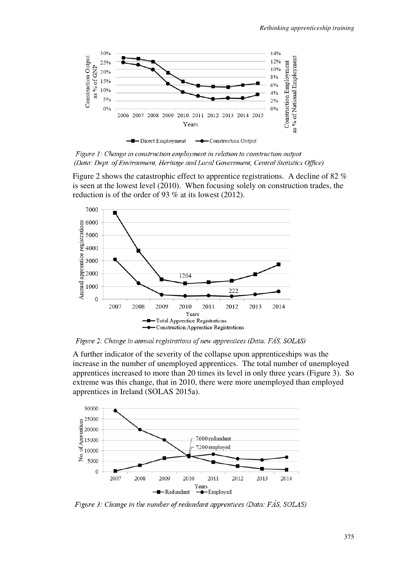

Figure 1: Change in construction employment in relation to construction output (Data: Dept. of Environment, Heritage and Local Government, Central Statistics Office)

Figure 2 shows the catastrophic effect to apprentice registrations. A decline of 82 % is seen at the lowest level (2010). When focusing solely on construction trades, the reduction is of the order of 93 % at its lowest (2012).



Figure 2: Change in annual registrations of new apprentices (Data: FÁS, SOLAS)

A further indicator of the severity of the collapse upon apprenticeships was the increase in the number of unemployed apprentices. The total number of unemployed apprentices increased to more than 20 times its level in only three years (Figure 3). So extreme was this change, that in 2010, there were more unemployed than employed apprentices in Ireland (SOLAS 2015a).



Figure 3: Change in the number of redundant apprentices (Data: FÁS, SOLAS)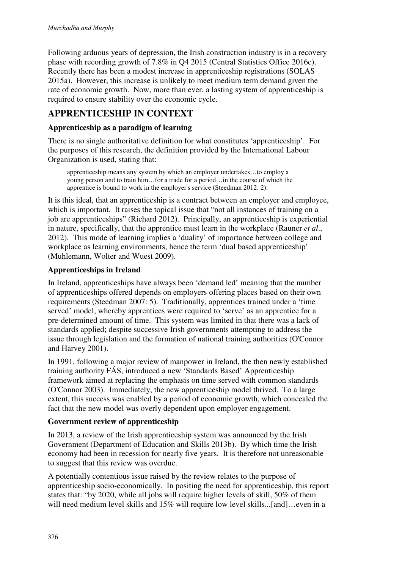Following arduous years of depression, the Irish construction industry is in a recovery phase with recording growth of 7.8% in Q4 2015 (Central Statistics Office 2016c). Recently there has been a modest increase in apprenticeship registrations (SOLAS 2015a). However, this increase is unlikely to meet medium term demand given the rate of economic growth. Now, more than ever, a lasting system of apprenticeship is required to ensure stability over the economic cycle.

## **APPRENTICESHIP IN CONTEXT**

### **Apprenticeship as a paradigm of learning**

There is no single authoritative definition for what constitutes 'apprenticeship'. For the purposes of this research, the definition provided by the International Labour Organization is used, stating that:

apprenticeship means any system by which an employer undertakes…to employ a young person and to train him…for a trade for a period…in the course of which the apprentice is bound to work in the employer's service (Steedman 2012: 2).

It is this ideal, that an apprenticeship is a contract between an employer and employee, which is important. It raises the topical issue that "not all instances of training on a job are apprenticeships" (Richard 2012). Principally, an apprenticeship is experiential in nature, specifically, that the apprentice must learn in the workplace (Rauner *et al*., 2012). This mode of learning implies a 'duality' of importance between college and workplace as learning environments, hence the term 'dual based apprenticeship' (Muhlemann, Wolter and Wuest 2009).

#### **Apprenticeships in Ireland**

In Ireland, apprenticeships have always been 'demand led' meaning that the number of apprenticeships offered depends on employers offering places based on their own requirements (Steedman 2007: 5). Traditionally, apprentices trained under a 'time served' model, whereby apprentices were required to 'serve' as an apprentice for a pre-determined amount of time. This system was limited in that there was a lack of standards applied; despite successive Irish governments attempting to address the issue through legislation and the formation of national training authorities (O'Connor and Harvey 2001).

In 1991, following a major review of manpower in Ireland, the then newly established training authority FÁS, introduced a new 'Standards Based' Apprenticeship framework aimed at replacing the emphasis on time served with common standards (O'Connor 2003). Immediately, the new apprenticeship model thrived. To a large extent, this success was enabled by a period of economic growth, which concealed the fact that the new model was overly dependent upon employer engagement.

#### **Government review of apprenticeship**

In 2013, a review of the Irish apprenticeship system was announced by the Irish Government (Department of Education and Skills 2013b). By which time the Irish economy had been in recession for nearly five years. It is therefore not unreasonable to suggest that this review was overdue.

A potentially contentious issue raised by the review relates to the purpose of apprenticeship socio-economically. In positing the need for apprenticeship, this report states that: "by 2020, while all jobs will require higher levels of skill, 50% of them will need medium level skills and 15% will require low level skills...[and]…even in a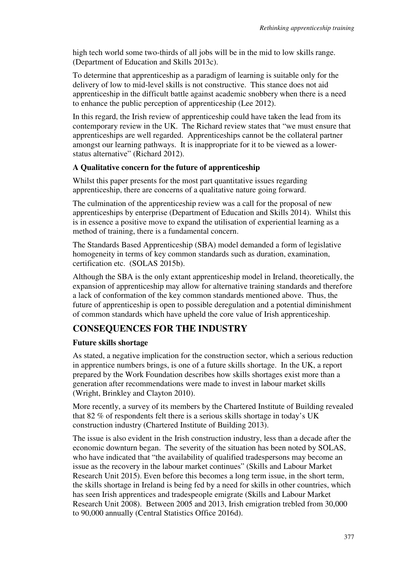high tech world some two-thirds of all jobs will be in the mid to low skills range. (Department of Education and Skills 2013c).

To determine that apprenticeship as a paradigm of learning is suitable only for the delivery of low to mid-level skills is not constructive. This stance does not aid apprenticeship in the difficult battle against academic snobbery when there is a need to enhance the public perception of apprenticeship (Lee 2012).

In this regard, the Irish review of apprenticeship could have taken the lead from its contemporary review in the UK. The Richard review states that "we must ensure that apprenticeships are well regarded. Apprenticeships cannot be the collateral partner amongst our learning pathways. It is inappropriate for it to be viewed as a lowerstatus alternative" (Richard 2012).

#### **A Qualitative concern for the future of apprenticeship**

Whilst this paper presents for the most part quantitative issues regarding apprenticeship, there are concerns of a qualitative nature going forward.

The culmination of the apprenticeship review was a call for the proposal of new apprenticeships by enterprise (Department of Education and Skills 2014). Whilst this is in essence a positive move to expand the utilisation of experiential learning as a method of training, there is a fundamental concern.

The Standards Based Apprenticeship (SBA) model demanded a form of legislative homogeneity in terms of key common standards such as duration, examination, certification etc. (SOLAS 2015b).

Although the SBA is the only extant apprenticeship model in Ireland, theoretically, the expansion of apprenticeship may allow for alternative training standards and therefore a lack of conformation of the key common standards mentioned above. Thus, the future of apprenticeship is open to possible deregulation and a potential diminishment of common standards which have upheld the core value of Irish apprenticeship.

### **CONSEQUENCES FOR THE INDUSTRY**

#### **Future skills shortage**

As stated, a negative implication for the construction sector, which a serious reduction in apprentice numbers brings, is one of a future skills shortage. In the UK, a report prepared by the Work Foundation describes how skills shortages exist more than a generation after recommendations were made to invest in labour market skills (Wright, Brinkley and Clayton 2010).

More recently, a survey of its members by the Chartered Institute of Building revealed that 82 % of respondents felt there is a serious skills shortage in today's UK construction industry (Chartered Institute of Building 2013).

The issue is also evident in the Irish construction industry, less than a decade after the economic downturn began. The severity of the situation has been noted by SOLAS, who have indicated that "the availability of qualified tradespersons may become an issue as the recovery in the labour market continues" (Skills and Labour Market Research Unit 2015). Even before this becomes a long term issue, in the short term, the skills shortage in Ireland is being fed by a need for skills in other countries, which has seen Irish apprentices and tradespeople emigrate (Skills and Labour Market Research Unit 2008). Between 2005 and 2013, Irish emigration trebled from 30,000 to 90,000 annually (Central Statistics Office 2016d).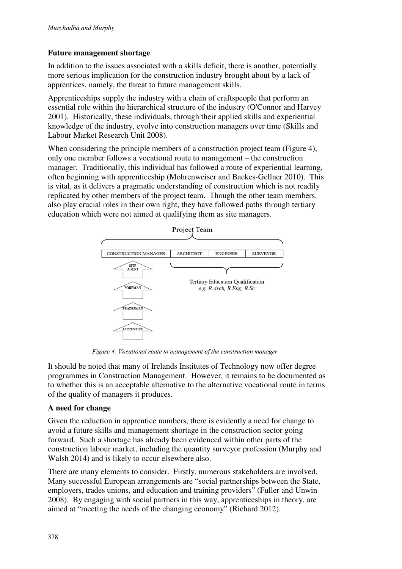### **Future management shortage**

In addition to the issues associated with a skills deficit, there is another, potentially more serious implication for the construction industry brought about by a lack of apprentices, namely, the threat to future management skills.

Apprenticeships supply the industry with a chain of craftspeople that perform an essential role within the hierarchical structure of the industry (O'Connor and Harvey 2001). Historically, these individuals, through their applied skills and experiential knowledge of the industry, evolve into construction managers over time (Skills and Labour Market Research Unit 2008).

When considering the principle members of a construction project team (Figure 4), only one member follows a vocational route to management – the construction manager. Traditionally, this individual has followed a route of experiential learning, often beginning with apprenticeship (Mohrenweiser and Backes‐Gellner 2010). This is vital, as it delivers a pragmatic understanding of construction which is not readily replicated by other members of the project team. Though the other team members, also play crucial roles in their own right, they have followed paths through tertiary education which were not aimed at qualifying them as site managers.



Figure 4: Vocational route to management of the construction manager

It should be noted that many of Irelands Institutes of Technology now offer degree programmes in Construction Management. However, it remains to be documented as to whether this is an acceptable alternative to the alternative vocational route in terms of the quality of managers it produces.

#### **A need for change**

Given the reduction in apprentice numbers, there is evidently a need for change to avoid a future skills and management shortage in the construction sector going forward. Such a shortage has already been evidenced within other parts of the construction labour market, including the quantity surveyor profession (Murphy and Walsh 2014) and is likely to occur elsewhere also.

There are many elements to consider. Firstly, numerous stakeholders are involved. Many successful European arrangements are "social partnerships between the State, employers, trades unions, and education and training providers" (Fuller and Unwin 2008). By engaging with social partners in this way, apprenticeships in theory, are aimed at "meeting the needs of the changing economy" (Richard 2012).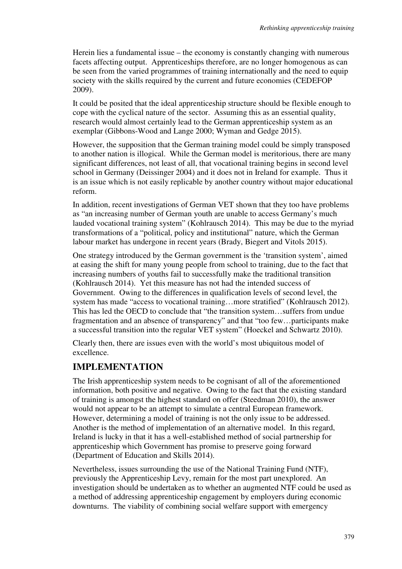Herein lies a fundamental issue – the economy is constantly changing with numerous facets affecting output. Apprenticeships therefore, are no longer homogenous as can be seen from the varied programmes of training internationally and the need to equip society with the skills required by the current and future economies (CEDEFOP 2009).

It could be posited that the ideal apprenticeship structure should be flexible enough to cope with the cyclical nature of the sector. Assuming this as an essential quality, research would almost certainly lead to the German apprenticeship system as an exemplar (Gibbons-Wood and Lange 2000; Wyman and Gedge 2015).

However, the supposition that the German training model could be simply transposed to another nation is illogical. While the German model is meritorious, there are many significant differences, not least of all, that vocational training begins in second level school in Germany (Deissinger 2004) and it does not in Ireland for example. Thus it is an issue which is not easily replicable by another country without major educational reform.

In addition, recent investigations of German VET shown that they too have problems as "an increasing number of German youth are unable to access Germany's much lauded vocational training system" (Kohlrausch 2014). This may be due to the myriad transformations of a "political, policy and institutional" nature, which the German labour market has undergone in recent years (Brady, Biegert and Vitols 2015).

One strategy introduced by the German government is the 'transition system', aimed at easing the shift for many young people from school to training, due to the fact that increasing numbers of youths fail to successfully make the traditional transition (Kohlrausch 2014). Yet this measure has not had the intended success of Government. Owing to the differences in qualification levels of second level, the system has made "access to vocational training...more stratified" (Kohlrausch 2012). This has led the OECD to conclude that "the transition system…suffers from undue fragmentation and an absence of transparency" and that "too few…participants make a successful transition into the regular VET system" (Hoeckel and Schwartz 2010).

Clearly then, there are issues even with the world's most ubiquitous model of excellence.

## **IMPLEMENTATION**

The Irish apprenticeship system needs to be cognisant of all of the aforementioned information, both positive and negative. Owing to the fact that the existing standard of training is amongst the highest standard on offer (Steedman 2010), the answer would not appear to be an attempt to simulate a central European framework. However, determining a model of training is not the only issue to be addressed. Another is the method of implementation of an alternative model. In this regard, Ireland is lucky in that it has a well-established method of social partnership for apprenticeship which Government has promise to preserve going forward (Department of Education and Skills 2014).

Nevertheless, issues surrounding the use of the National Training Fund (NTF), previously the Apprenticeship Levy, remain for the most part unexplored. An investigation should be undertaken as to whether an augmented NTF could be used as a method of addressing apprenticeship engagement by employers during economic downturns. The viability of combining social welfare support with emergency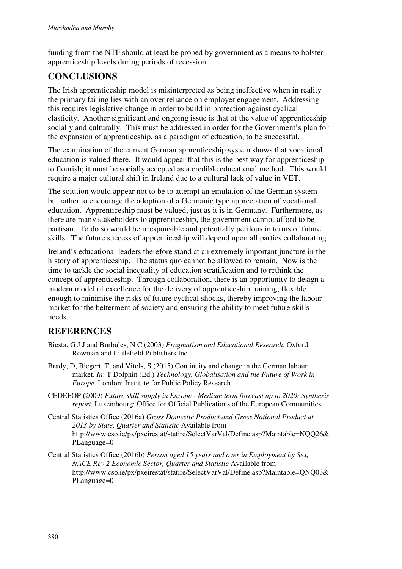funding from the NTF should at least be probed by government as a means to bolster apprenticeship levels during periods of recession.

## **CONCLUSIONS**

The Irish apprenticeship model is misinterpreted as being ineffective when in reality the primary failing lies with an over reliance on employer engagement. Addressing this requires legislative change in order to build in protection against cyclical elasticity. Another significant and ongoing issue is that of the value of apprenticeship socially and culturally. This must be addressed in order for the Government's plan for the expansion of apprenticeship, as a paradigm of education, to be successful.

The examination of the current German apprenticeship system shows that vocational education is valued there. It would appear that this is the best way for apprenticeship to flourish; it must be socially accepted as a credible educational method. This would require a major cultural shift in Ireland due to a cultural lack of value in VET.

The solution would appear not to be to attempt an emulation of the German system but rather to encourage the adoption of a Germanic type appreciation of vocational education. Apprenticeship must be valued, just as it is in Germany. Furthermore, as there are many stakeholders to apprenticeship, the government cannot afford to be partisan. To do so would be irresponsible and potentially perilous in terms of future skills. The future success of apprenticeship will depend upon all parties collaborating.

Ireland's educational leaders therefore stand at an extremely important juncture in the history of apprenticeship. The status quo cannot be allowed to remain. Now is the time to tackle the social inequality of education stratification and to rethink the concept of apprenticeship. Through collaboration, there is an opportunity to design a modern model of excellence for the delivery of apprenticeship training, flexible enough to minimise the risks of future cyclical shocks, thereby improving the labour market for the betterment of society and ensuring the ability to meet future skills needs.

## **REFERENCES**

- Biesta, G J J and Burbules, N C (2003) *Pragmatism and Educational Research*. Oxford: Rowman and Littlefield Publishers Inc.
- Brady, D, Biegert, T, and Vitols, S (2015) Continuity and change in the German labour market. *In*: T Dolphin (Ed.) *Technology, Globalisation and the Future of Work in Europe*. London: Institute for Public Policy Research.
- CEDEFOP (2009) *Future skill supply in Europe Medium term forecast up to 2020: Synthesis report*. Luxembourg: Office for Official Publications of the European Communities.
- Central Statistics Office (2016a) *Gross Domestic Product and Gross National Product at 2013 by State, Quarter and Statistic* Available from http://www.cso.ie/px/pxeirestat/statire/SelectVarVal/Define.asp?Maintable=NQQ26& PLanguage=0
- Central Statistics Office (2016b) *Person aged 15 years and over in Employment by Sex, NACE Rev 2 Economic Sector, Quarter and Statistic* Available from http://www.cso.ie/px/pxeirestat/statire/SelectVarVal/Define.asp?Maintable=QNQ03& PLanguage=0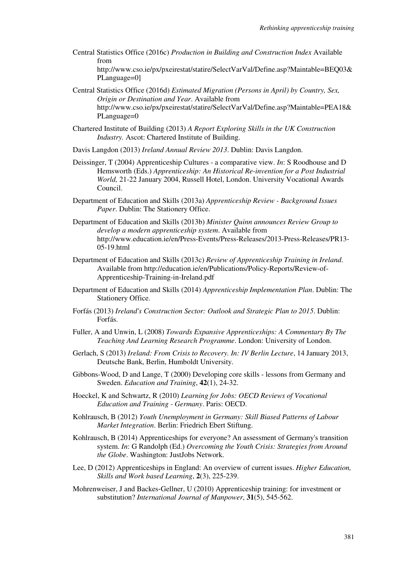Central Statistics Office (2016c) *Production in Building and Construction Index* Available from

http://www.cso.ie/px/pxeirestat/statire/SelectVarVal/Define.asp?Maintable=BEQ03& PLanguage=0]

- Central Statistics Office (2016d) *Estimated Migration (Persons in April) by Country, Sex, Origin or Destination and Year*. Available from http://www.cso.ie/px/pxeirestat/statire/SelectVarVal/Define.asp?Maintable=PEA18& PLanguage=0
- Chartered Institute of Building (2013) *A Report Exploring Skills in the UK Construction Industry.* Ascot: Chartered Institute of Building.
- Davis Langdon (2013) *Ireland Annual Review 2013*. Dublin: Davis Langdon.
- Deissinger, T (2004) Apprenticeship Cultures a comparative view. *In*: S Roodhouse and D Hemsworth (Eds.) *Apprenticeship: An Historical Re-invention for a Post Industrial World,* 21-22 January 2004, Russell Hotel, London. University Vocational Awards Council.
- Department of Education and Skills (2013a) *Apprenticeship Review Background Issues Paper*. Dublin: The Stationery Office.
- Department of Education and Skills (2013b) *Minister Quinn announces Review Group to develop a modern apprenticeship system*. Available from http://www.education.ie/en/Press-Events/Press-Releases/2013-Press-Releases/PR13- 05-19.html
- Department of Education and Skills (2013c) *Review of Apprenticeship Training in Ireland*. Available from http://education.ie/en/Publications/Policy-Reports/Review-of-Apprenticeship-Training-in-Ireland.pdf
- Department of Education and Skills (2014) *Apprenticeship Implementation Plan*. Dublin: The Stationery Office.
- Forfás (2013) *Ireland's Construction Sector: Outlook and Strategic Plan to 2015*. Dublin: Forfás.
- Fuller, A and Unwin, L (2008) *Towards Expansive Apprenticeships: A Commentary By The Teaching And Learning Research Programme*. London: University of London.
- Gerlach, S (2013) *Ireland: From Crisis to Recovery. In: IV Berlin Lecture*, 14 January 2013, Deutsche Bank, Berlin, Humboldt University.
- Gibbons-Wood, D and Lange, T (2000) Developing core skills lessons from Germany and Sweden. *Education and Training*, **42**(1), 24-32.
- Hoeckel, K and Schwartz, R (2010) *Learning for Jobs: OECD Reviews of Vocational Education and Training - Germany*. Paris: OECD.
- Kohlrausch, B (2012) *Youth Unemployment in Germany: Skill Biased Patterns of Labour Market Integration*. Berlin: Friedrich Ebert Stiftung.
- Kohlrausch, B (2014) Apprenticeships for everyone? An assessment of Germany's transition system. *In*: G Randolph (Ed.) *Overcoming the Youth Crisis: Strategies from Around the Globe*. Washington: JustJobs Network.
- Lee, D (2012) Apprenticeships in England: An overview of current issues. *Higher Education, Skills and Work based Learning*, **2**(3), 225-239.
- Mohrenweiser, J and Backes‐Gellner, U (2010) Apprenticeship training: for investment or substitution? *International Journal of Manpower*, **31**(5), 545-562.